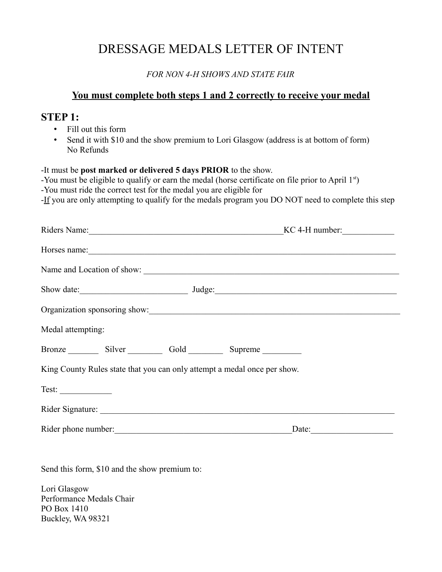## DRESSAGE MEDALS LETTER OF INTENT

*FOR NON 4-H SHOWS AND STATE FAIR*

## **You must complete both steps 1 and 2 correctly to receive your medal**

## **STEP 1:**

- Fill out this form
- Send it with \$10 and the show premium to Lori Glasgow (address is at bottom of form) No Refunds

-It must be **post marked or delivered 5 days PRIOR** to the show.

-You must be eligible to qualify or earn the medal (horse certificate on file prior to April  $1<sup>st</sup>$ )

-You must ride the correct test for the medal you are eligible for

-If you are only attempting to qualify for the medals program you DO NOT need to complete this step

| Riders Name: Manuel Manuel Alexander and Manuel Manuel Alexander and Manuel Alexander and Manuel Alexander and |  |                                                                          | $KC 4-H number:$ |                            |  |
|----------------------------------------------------------------------------------------------------------------|--|--------------------------------------------------------------------------|------------------|----------------------------|--|
|                                                                                                                |  |                                                                          |                  |                            |  |
|                                                                                                                |  |                                                                          |                  | Name and Location of show: |  |
|                                                                                                                |  |                                                                          |                  |                            |  |
|                                                                                                                |  |                                                                          |                  |                            |  |
| Medal attempting:                                                                                              |  |                                                                          |                  |                            |  |
|                                                                                                                |  | Bronze Silver Gold Supreme                                               |                  |                            |  |
|                                                                                                                |  | King County Rules state that you can only attempt a medal once per show. |                  |                            |  |
| Test:                                                                                                          |  |                                                                          |                  |                            |  |
|                                                                                                                |  |                                                                          |                  |                            |  |
|                                                                                                                |  |                                                                          | Date:            |                            |  |
|                                                                                                                |  |                                                                          |                  |                            |  |
|                                                                                                                |  |                                                                          |                  |                            |  |

Send this form, \$10 and the show premium to:

Lori Glasgow Performance Medals Chair PO Box 1410 Buckley, WA 98321